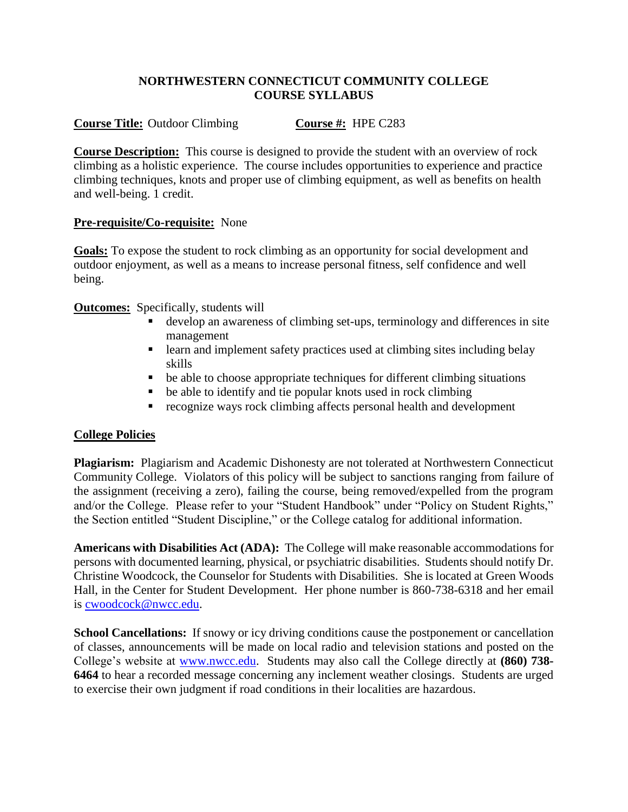#### **NORTHWESTERN CONNECTICUT COMMUNITY COLLEGE COURSE SYLLABUS**

# **Course Title:** Outdoor Climbing **Course #:** HPE C283

**Course Description:** This course is designed to provide the student with an overview of rock climbing as a holistic experience. The course includes opportunities to experience and practice climbing techniques, knots and proper use of climbing equipment, as well as benefits on health and well-being. 1 credit.

## **Pre-requisite/Co-requisite:** None

**Goals:** To expose the student to rock climbing as an opportunity for social development and outdoor enjoyment, as well as a means to increase personal fitness, self confidence and well being.

**Outcomes:** Specifically, students will

- develop an awareness of climbing set-ups, terminology and differences in site management
- **Examplement safety practices used at climbing sites including belay** skills
- be able to choose appropriate techniques for different climbing situations
- be able to identify and tie popular knots used in rock climbing
- recognize ways rock climbing affects personal health and development

## **College Policies**

**Plagiarism:** Plagiarism and Academic Dishonesty are not tolerated at Northwestern Connecticut Community College. Violators of this policy will be subject to sanctions ranging from failure of the assignment (receiving a zero), failing the course, being removed/expelled from the program and/or the College. Please refer to your "Student Handbook" under "Policy on Student Rights," the Section entitled "Student Discipline," or the College catalog for additional information.

**Americans with Disabilities Act (ADA):** The College will make reasonable accommodations for persons with documented learning, physical, or psychiatric disabilities. Students should notify Dr. Christine Woodcock, the Counselor for Students with Disabilities. She is located at Green Woods Hall, in the Center for Student Development. Her phone number is 860-738-6318 and her email is [cwoodcock@nwcc.edu.](mailto:cwoodcock@nwcc.edu)

**School Cancellations:** If snowy or icy driving conditions cause the postponement or cancellation of classes, announcements will be made on local radio and television stations and posted on the College's website at [www.nwcc.edu.](http://www.nwcc.edu/) Students may also call the College directly at **(860) 738- 6464** to hear a recorded message concerning any inclement weather closings. Students are urged to exercise their own judgment if road conditions in their localities are hazardous.